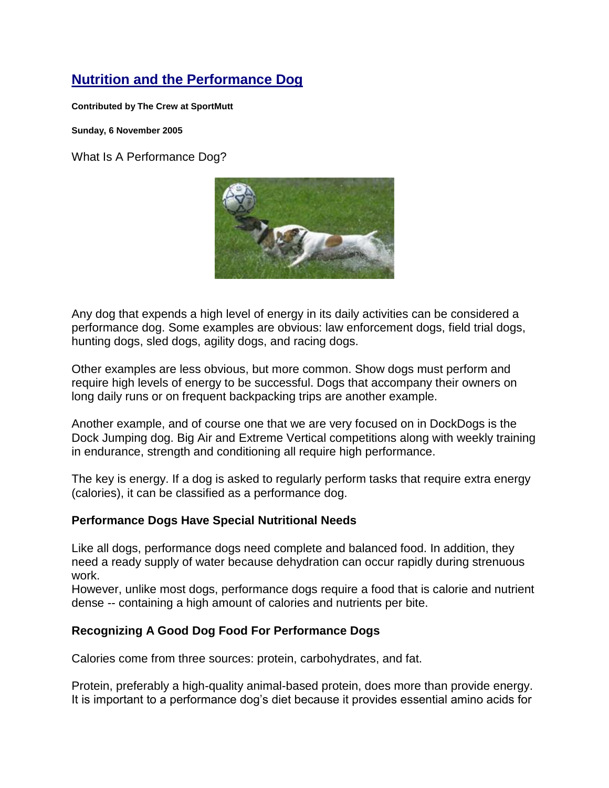# **Nutrition and the Performance Dog**

**Contributed by The Crew at SportMutt**

**Sunday, 6 November 2005**

What Is A Performance Dog?



Any dog that expends a high level of energy in its daily activities can be considered a performance dog. Some examples are obvious: law enforcement dogs, field trial dogs, hunting dogs, sled dogs, agility dogs, and racing dogs,

Other examples are less obvious, but more common. Show dogs must perform and require high levels of energy to be successful. Dogs that accompany their owners on long daily runs or on frequent backpacking trips are another example.

Another example, and of course one that we are very focused on in DockDogs is the Dock Jumping dog. Big Air and Extreme Vertical competitions along with weekly training in endurance, strength and conditioning all require high performance.

The key is energy. If a dog is asked to regularly perform tasks that require extra energy (calories), it can be classified as a performance dog.

### **Performance Dogs Have Special Nutritional Needs**

Like all dogs, performance dogs need complete and balanced food. In addition, they need a ready supply of water because dehydration can occur rapidly during strenuous work.

However, unlike most dogs, performance dogs require a food that is calorie and nutrient dense -- containing a high amount of calories and nutrients per bite.

## **Recognizing A Good Dog Food For Performance Dogs**

Calories come from three sources: protein, carbohydrates, and fat.

Protein, preferably a high-quality animal-based protein, does more than provide energy. It is important to a performance dog's diet because it provides essential amino acids for